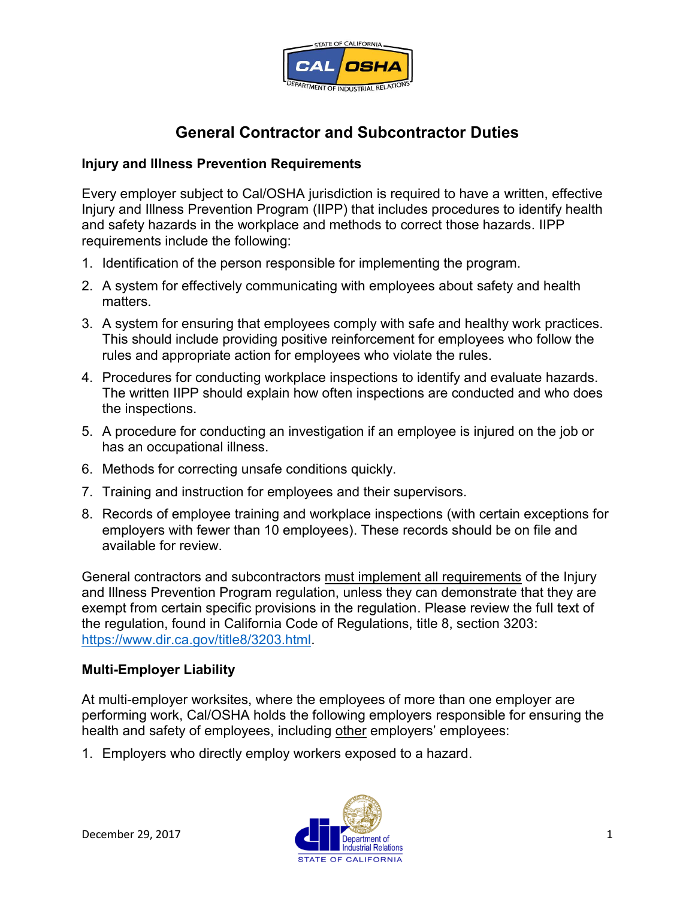

## **General Contractor and Subcontractor Duties**

## **Injury and Illness Prevention Requirements**

Every employer subject to Cal/OSHA jurisdiction is required to have a written, effective Injury and Illness Prevention Program (IIPP) that includes procedures to identify health and safety hazards in the workplace and methods to correct those hazards. IIPP requirements include the following:

- 1. Identification of the person responsible for implementing the program.
- 2. A system for effectively communicating with employees about safety and health matters.
- rules and appropriate action for employees who violate the rules. 3. A system for ensuring that employees comply with safe and healthy work practices. This should include providing positive reinforcement for employees who follow the
- 4. Procedures for conducting workplace inspections to identify and evaluate hazards. The written IIPP should explain how often inspections are conducted and who does the inspections.
- 5. A procedure for conducting an investigation if an employee is injured on the job or has an occupational illness.
- 6. Methods for correcting unsafe conditions quickly.
- 7. Training and instruction for employees and their supervisors.
- employers with fewer than 10 employees). These records should be on file and 8. Records of employee training and workplace inspections (with certain exceptions for available for review.

General contractors and subcontractors must implement all requirements of the Injury and Illness Prevention Program regulation, unless they can demonstrate that they are exempt from certain specific provisions in the regulation. Please review the full text of the regulation, found in California Code of Regulations, title 8, section 3203: [https://www.dir.ca.gov/title8/3203.html.](https://www.dir.ca.gov/title8/3203.html)

## **Multi-Employer Liability**

At multi-employer worksites, where the employees of more than one employer are performing work, Cal/OSHA holds the following employers responsible for ensuring the health and safety of employees, including other employers' employees:

1. Employers who directly employ workers exposed to a hazard.